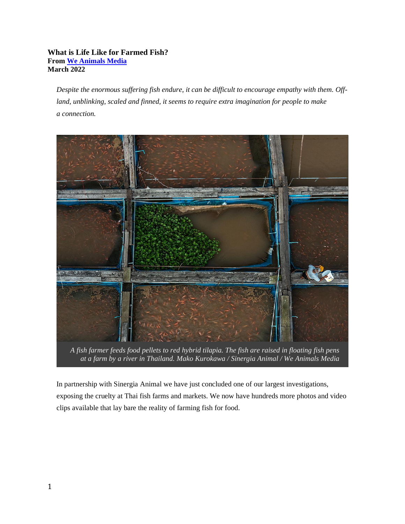## **What is Life Like for Farmed Fish? From [We Animals Media](https://weanimalsmedia.org/) March 2022**

*Despite the enormous suffering fish endure, it can be difficult to encourage empathy with them. Offland, unblinking, scaled and finned, it seems to require extra imagination for people to make a connection.*



*A fish farmer feeds food pellets to red hybrid tilapia. The fish are raised in floating fish pens at a farm by a river in Thailand. Mako Kurokawa / Sinergia Animal / We Animals Media*

In partnership with Sinergia Animal we have just concluded one of our largest investigations, exposing the cruelty at Thai fish farms and markets. We now have hundreds more photos and video clips available that lay bare the reality of farming fish for food.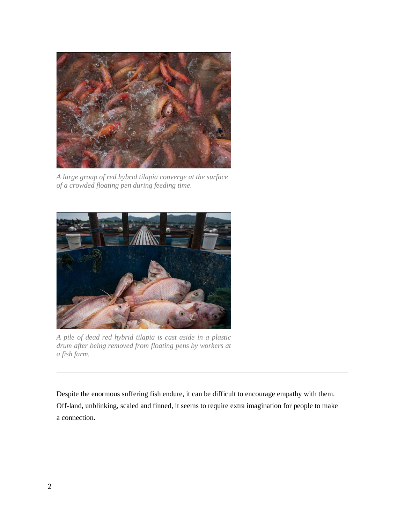

*A large group of red hybrid tilapia converge at the surface of a crowded floating pen during feeding time.*



*A pile of dead red hybrid tilapia is cast aside in a plastic drum after being removed from floating pens by workers at a fish farm.*

Despite the enormous suffering fish endure, it can be difficult to encourage empathy with them. Off-land, unblinking, scaled and finned, it seems to require extra imagination for people to make a connection.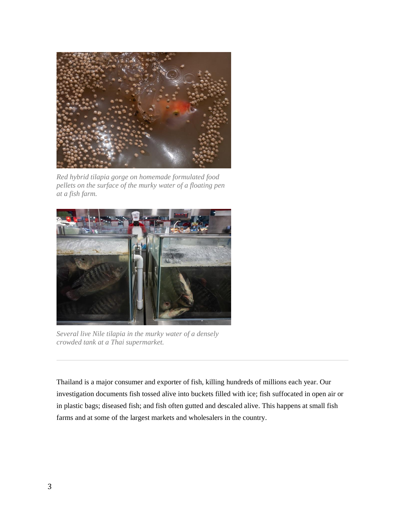

*Red hybrid tilapia gorge on homemade formulated food pellets on the surface of the murky water of a floating pen at a fish farm.*



*Several live Nile tilapia in the murky water of a densely crowded tank at a Thai supermarket.*

Thailand is a major consumer and exporter of fish, killing hundreds of millions each year. Our investigation documents fish tossed alive into buckets filled with ice; fish suffocated in open air or in plastic bags; diseased fish; and fish often gutted and descaled alive. This happens at small fish farms and at some of the largest markets and wholesalers in the country.